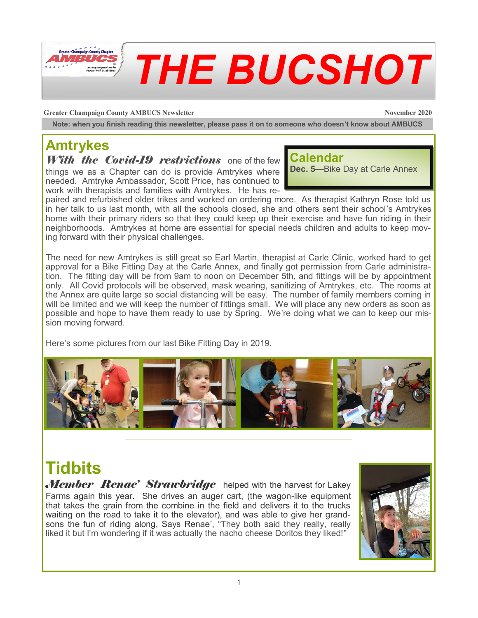

**Greater Champaign County AMBUCS Newsletter November 2020** 

**Note: when you finish reading this newsletter, please pass it on to someone who doesn't know about AMBUCS**

## **Amtrykes**

*With the Covid-19 restrictions* one of the few things we as a Chapter can do is provide Amtrykes where needed. Amtryke Ambassador, Scott Price, has continued to

work with therapists and families with Amtrykes. He has re-

#### **Calendar**

**Dec. 5—**Bike Day at Carle Annex

paired and refurbished older trikes and worked on ordering more. As therapist Kathryn Rose told us in her talk to us last month, with all the schools closed, she and others sent their school's Amtrykes home with their primary riders so that they could keep up their exercise and have fun riding in their neighborhoods. Amtrykes at home are essential for special needs children and adults to keep moving forward with their physical challenges.

The need for new Amtrykes is still great so Earl Martin, therapist at Carle Clinic, worked hard to get approval for a Bike Fitting Day at the Carle Annex, and finally got permission from Carle administration. The fitting day will be from 9am to noon on December 5th, and fittings will be by appointment only. All Covid protocols will be observed, mask wearing, sanitizing of Amtrykes, etc. The rooms at the Annex are quite large so social distancing will be easy. The number of family members coming in will be limited and we will keep the number of fittings small. We will place any new orders as soon as possible and hope to have them ready to use by Spring. We're doing what we can to keep our mission moving forward.

Here's some pictures from our last Bike Fitting Day in 2019.



## **Tidbits**

*Member Renae' Strawbridge* helped with the harvest for Lakey Farms again this year. She drives an auger cart, (the wagon-like equipment that takes the grain from the combine in the field and delivers it to the trucks waiting on the road to take it to the elevator), and was able to give her grandsons the fun of riding along, Says Renae', "They both said they really, really liked it but I'm wondering if it was actually the nacho cheese Doritos they liked!"

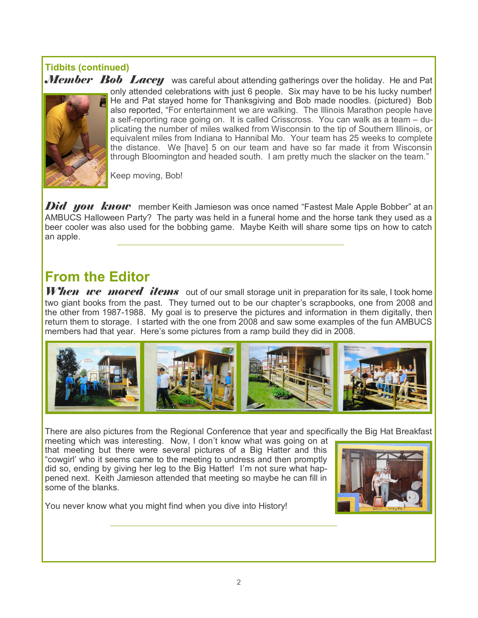# **Tidbits (continued)**



Member Bob Lacey was careful about attending gatherings over the holiday. He and Pat only attended celebrations with just 6 people. Six may have to be his lucky number! He and Pat stayed home for Thanksgiving and Bob made noodles. (pictured) Bob also reported, "For entertainment we are walking. The Illinois Marathon people have a self-reporting race going on. It is called Crisscross. You can walk as a team – duplicating the number of miles walked from Wisconsin to the tip of Southern Illinois, or equivalent miles from Indiana to Hannibal Mo. Your team has 25 weeks to complete the distance. We [have] 5 on our team and have so far made it from Wisconsin through Bloomington and headed south. I am pretty much the slacker on the team."

Keep moving, Bob!

*Did you know* member Keith Jamieson was once named "Fastest Male Apple Bobber" at an AMBUCS Halloween Party? The party was held in a funeral home and the horse tank they used as a beer cooler was also used for the bobbing game. Maybe Keith will share some tips on how to catch an apple.

### **From the Editor**

When we moved items out of our small storage unit in preparation for its sale, I took home two giant books from the past. They turned out to be our chapter's scrapbooks, one from 2008 and the other from 1987-1988. My goal is to preserve the pictures and information in them digitally, then return them to storage. I started with the one from 2008 and saw some examples of the fun AMBUCS members had that year. Here's some pictures from a ramp build they did in 2008.



There are also pictures from the Regional Conference that year and specifically the Big Hat Breakfast

meeting which was interesting. Now, I don't know what was going on at that meeting but there were several pictures of a Big Hatter and this "cowgirl' who it seems came to the meeting to undress and then promptly did so, ending by giving her leg to the Big Hatter! I'm not sure what happened next. Keith Jamieson attended that meeting so maybe he can fill in some of the blanks.



You never know what you might find when you dive into History!